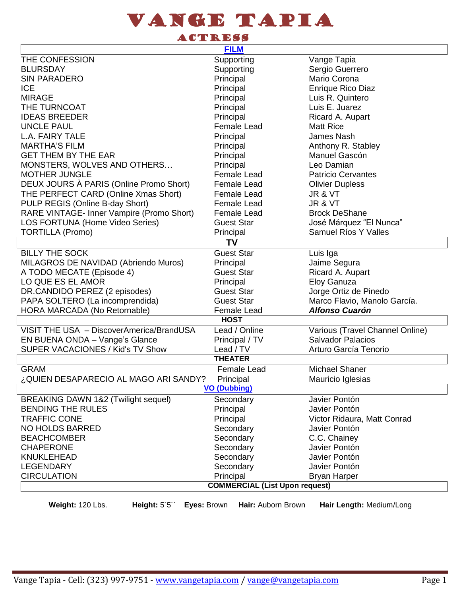# VANGE TAPIA

**ACTRESS** 

### **[FILM](http://vangetapia.net/Reels.html)** THE CONFESSION Supporting Vange Tapia BLURSDAY **Supporting Supporting** Sergio Guerrero SIN PARADERO **Principal** Principal Mario Corona **ICE ICE Principal Enrique Rico Diaz Principal Enrique Rico Diaz** MIRAGE **Principal Luis R. Quintero** Principal Luis R. Quintero THE TURNCOAT **Principal** Principal Luis E. Juarez **IDEAS BREEDER** Principal Principal Ricard A. Aupart UNCLE PAUL Female Lead Matt Rice L.A. FAIRY TALE Principal James Nash MARTHA'S FILM **Principal** Principal Anthony R. Stabley GET THEM BY THE EAR **Principal** Principal Manuel Gascón MONSTERS, WOLVES AND OTHERS... Principal Leo Damian MOTHER JUNGLE **Female Lead** Patricio Cervantes DEUX JOURS À PARIS (Online Promo Short) Female Lead Colivier Dupless THE PERFECT CARD (Online Xmas Short) Female Lead GR & VT PULP REGIS (Online B-day Short) Female Lead JR & VT RARE VINTAGE- Inner Vampire (Promo Short) Female Lead Brock DeShane LOS FORTUNA (Home Video Series) Guest Star Guest Star José Márquez "El Nunca" TORTILLA (Promo) TORTILLA (Promo) and TORTILLA (Promo) **TV** BILLY THE SOCK Guest Star Luis Iga MILAGROS DE NAVIDAD (Abriendo Muros) Principal international daime Segura A TODO MECATE (Episode 4) Guest Star Ricard A. Aupart LO QUE ES EL AMOR<br>
DR.CANDIDO PEREZ (2 episodes) Guest Star Jorge Ortiz de Pinedo DR.CANDIDO PEREZ (2 episodes) Guest Star PAPA SOLTERO (La incomprendida) Guest Star Marco Flavio, Manolo García.<br>HORA MARCADA (No Retornable) Female Lead **Alfonso Cuarón** HORA MARCADA (No Retornable) Female Lead **HOST** VISIT THE USA – DiscoverAmerica/BrandUSA Lead / Online Various (Travel Channel Online)<br>
EN BUENA ONDA – Vange's Glance Principal / TV Salvador Palacios EN BUENA ONDA – Vange's Glance Principal / TV Salvador Palacios SUPER VACACIONES / Kid's TV Show Lead / TV **THEATER** GRAM Female Lead Michael Shaner ¿QUIEN DESAPARECIO AL MAGO ARI SANDY? Principal Mauricio Iglesias **[VO \(Dubbing\)](http://vangetapia.net/Audio.html)** BREAKING DAWN 1&2 (Twilight sequel) Secondary Secondary Javier Pontón BENDING THE RULES **EXECUTE:** Principal Principal Davier Pontón TRAFFIC CONE Principal Victor Ridaura, Matt Conrad NO HOLDS BARRED **Secondary** Secondary **Secondary** Javier Pontón BEACHCOMBER Secondary C.C. Chainey CHAPERONE Secondary Javier Pontón KNUKLEHEAD Secondary Secondary Javier Pontón LEGENDARY Secondary Javier Pontón CIRCULATION **Principal** Bryan Harper **COMMERCIAL (List Upon request)**

**Weight:** 120 Lbs. **Height:** 5´5´´ **Eyes:** Brown **Hair:** Auborn Brown **Hair Length:** Medium/Long